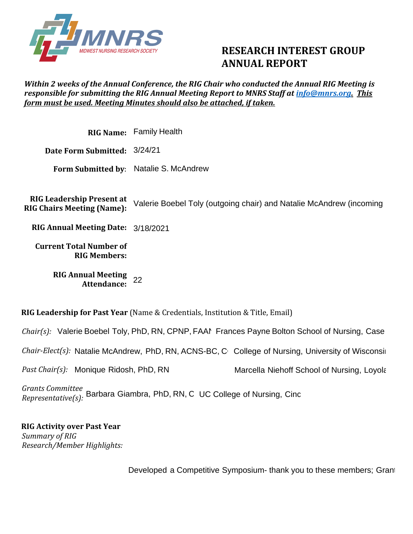

## **RESEARCH INTEREST GROUP ANNUAL REPORT**

## *Within 2 weeks of the Annual Conference, the RIG Chair who conducted the Annual RIG Meeting is responsible for submitting the RIG Annual Meeting Report to MNRS Staff at [info@mnrs.org.](mailto:info@mnrs.org) This form must be used. Meeting Minutes should also be attached, if taken.*

**RIG Name:**  Family Health **Date Form Submitted:**  3/24/21 **Form Submitted by**: Natalie S. McAndrew **RIG Leadership Present at RIG Chairs Meeting (Name): RIG Annual Meeting Date:**  3/18/2021 **Current Total Number of RIG Members: RIG Annual Meeting Attendance:**  Valerie Boebel Toly (outgoing chair) and Natalie McAndrew (incoming 22

**RIG Leadership for Past Year** (Name & Credentials, Institution & Title, Email)

Chair(s): Valerie Boebel Toly, PhD, RN, CPNP, FAAN Frances Payne Bolton School of Nursing, Case

Chair-Elect(s): Natalie McAndrew, PhD, RN, ACNS-BC, C Colle

*Past Chair(s):*  Monique Ridosh, PhD, RN IS-BC, C<sub>1</sub> College of Nursing, University of Wisconsil<br>Marcella Niehoff School of Nursing, Loyola<br>UC College of Nursing, Cinc

*Grants Committee*  arants committed Barbara Giambra, PhD, RN, C UC<br>Representative(s):

**RIG Activity over Past Year**  *Summary of RIG Research/Member Highlights:* 

Developed a Competitive Symposium- thank you to these members; Granting 20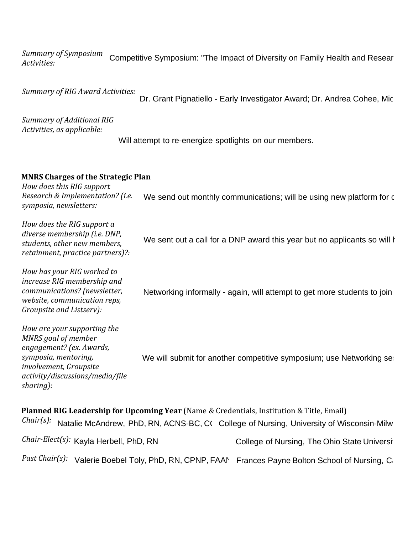*Summary of Symposium Activities:*  Competitive Symposium: "The Impact of Diversity on Family Health and Resear

*Summary of RIG Award Activities:* 

Dr. Grant Pignatiello - Early Investigator Award; Dr. Andrea Cohee, Mic-

*Summary of Additional RIG Activities, as applicable:*

Will attempt to re-energize spotlights on our members.

## **MNRS Charges of the Strategic Plan**

*How does this RIG support Research & Implementation? (i.e. symposia, newsletters:* We send out monthly communications; will be using new platform for  $\epsilon$ 

*How does the RIG support a diverse membership (i.e. DNP, students, other new members, retainment, practice partners)?: How has your RIG worked to increase RIG membership and communications? (newsletter, website, communication reps, Groupsite and Listserv): How are your supporting the MNRS goal of member engagement? (ex. Awards, symposia, mentoring, involvement, Groupsite activity/discussions/media/file sharing):* We sent out a call for a DNP award this year but no applicants so will invitation of  $\mathbb{R}$ . Networking informally - again, will attempt to get more students to join We will submit for another competitive symposium; use Networking set

**Planned RIG Leadership for Upcoming Year** (Name & Credentials, Institution & Title, Email) Chair(s): Natalie McAndrew, PhD, RN, ACNS-BC, C( College of Nursing, University of Wisconsin-Milw *Chair-Elect(s):*  Past Chair(s): Valerie Boebel Toly, PhD, RN, CPNP, FAAN Frances Payne Bolton School of Nursing, Case College of Nursing, The Ohio State University